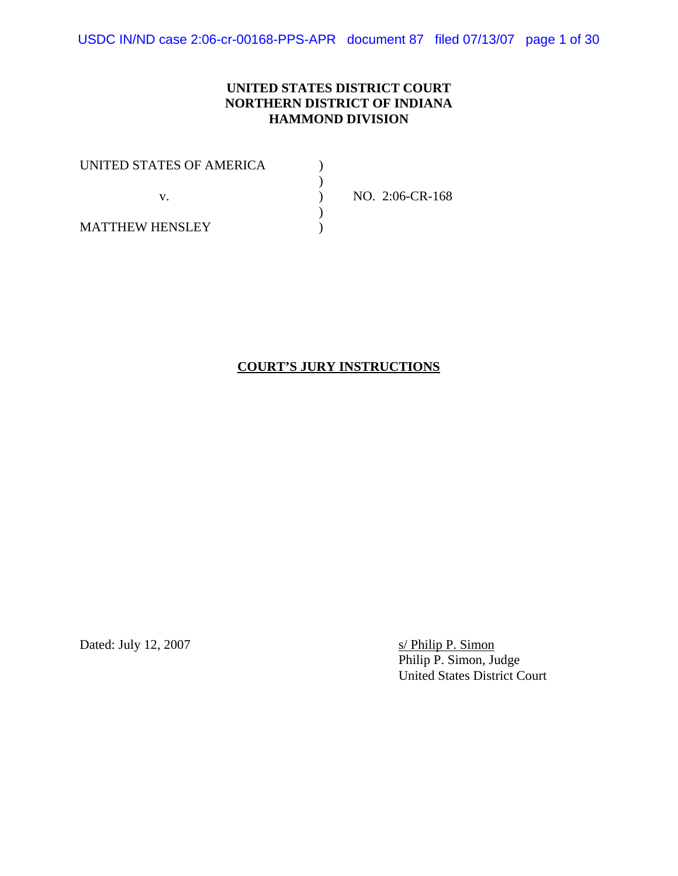USDC IN/ND case 2:06-cr-00168-PPS-APR document 87 filed 07/13/07 page 1 of 30

#### **UNITED STATES DISTRICT COURT NORTHERN DISTRICT OF INDIANA HAMMOND DIVISION**

| UNITED STATES OF AMERICA |                 |
|--------------------------|-----------------|
|                          |                 |
|                          | NO. 2:06-CR-168 |
|                          |                 |
| <b>MATTHEW HENSLEY</b>   |                 |

## **COURT'S JURY INSTRUCTIONS**

Dated: July 12, 2007

s/ Philip P. Simon<br>Philip P. Simon, Judge United States District Court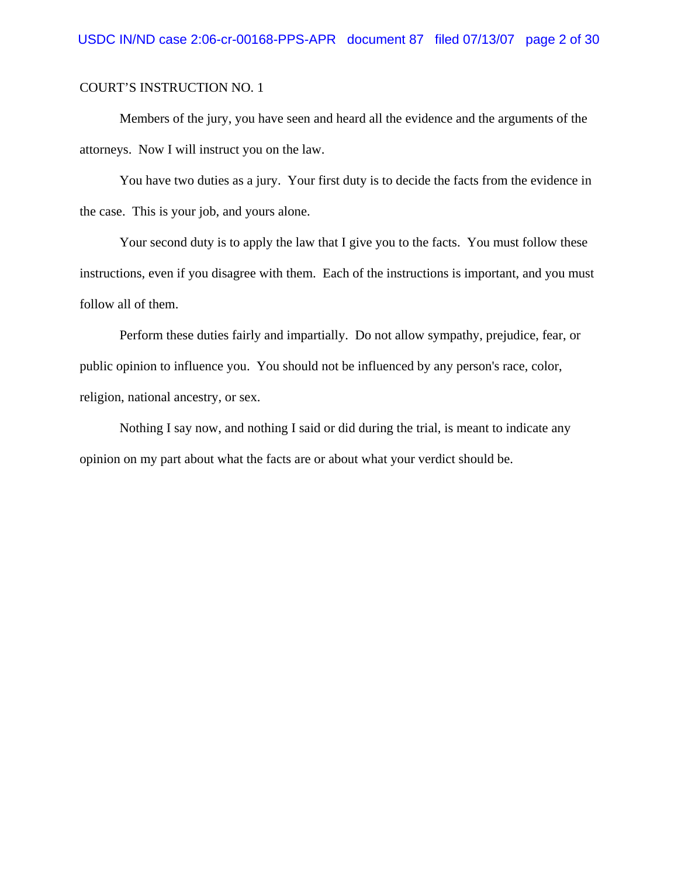Members of the jury, you have seen and heard all the evidence and the arguments of the attorneys. Now I will instruct you on the law.

You have two duties as a jury. Your first duty is to decide the facts from the evidence in the case. This is your job, and yours alone.

Your second duty is to apply the law that I give you to the facts. You must follow these instructions, even if you disagree with them. Each of the instructions is important, and you must follow all of them.

Perform these duties fairly and impartially. Do not allow sympathy, prejudice, fear, or public opinion to influence you. You should not be influenced by any person's race, color, religion, national ancestry, or sex.

Nothing I say now, and nothing I said or did during the trial, is meant to indicate any opinion on my part about what the facts are or about what your verdict should be.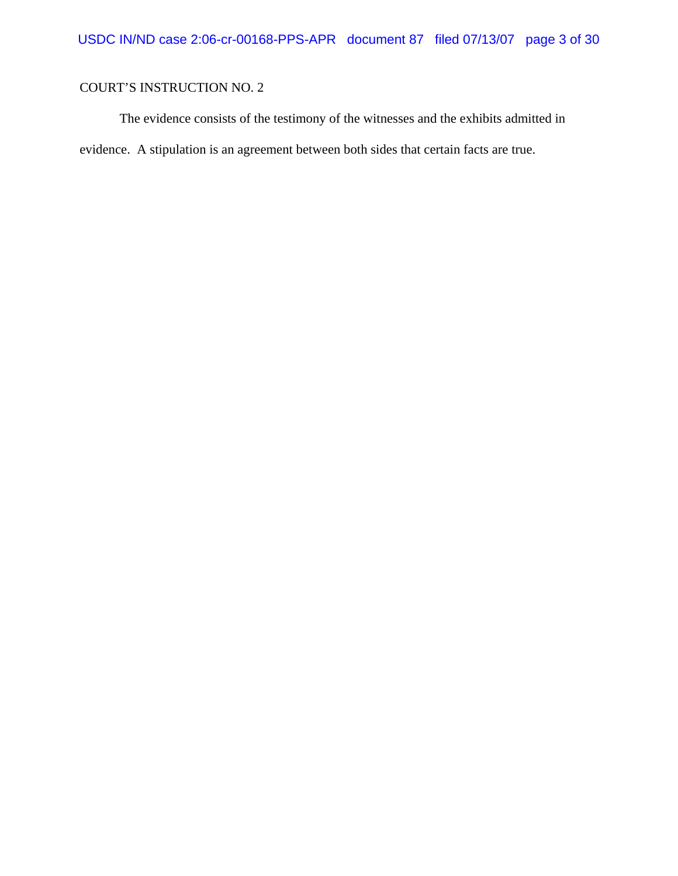The evidence consists of the testimony of the witnesses and the exhibits admitted in evidence. A stipulation is an agreement between both sides that certain facts are true.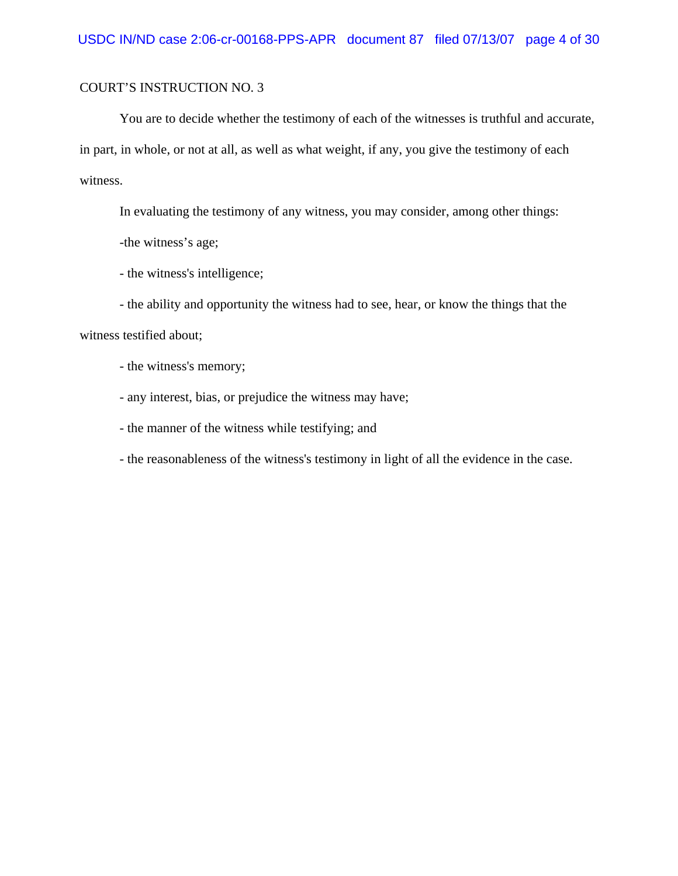You are to decide whether the testimony of each of the witnesses is truthful and accurate, in part, in whole, or not at all, as well as what weight, if any, you give the testimony of each witness.

In evaluating the testimony of any witness, you may consider, among other things:

-the witness's age;

- the witness's intelligence;

- the ability and opportunity the witness had to see, hear, or know the things that the witness testified about;

- the witness's memory;

- any interest, bias, or prejudice the witness may have;

- the manner of the witness while testifying; and

- the reasonableness of the witness's testimony in light of all the evidence in the case.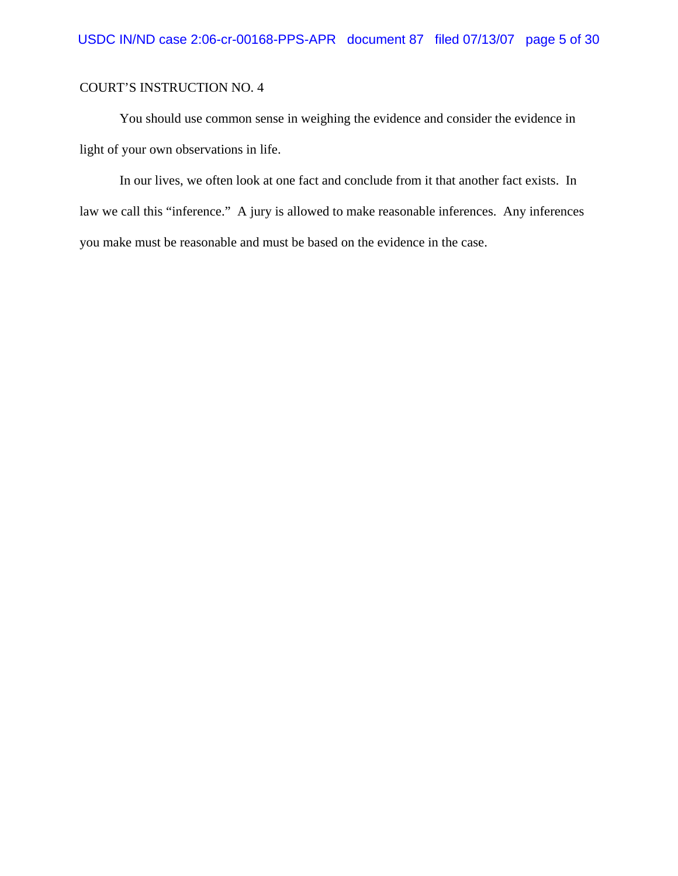You should use common sense in weighing the evidence and consider the evidence in light of your own observations in life.

In our lives, we often look at one fact and conclude from it that another fact exists. In law we call this "inference." A jury is allowed to make reasonable inferences. Any inferences you make must be reasonable and must be based on the evidence in the case.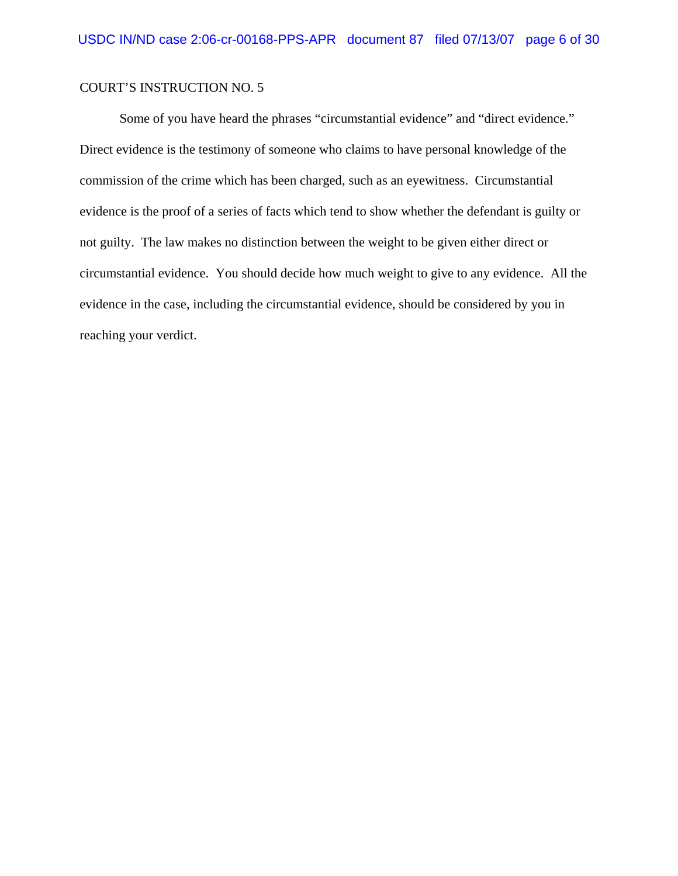Some of you have heard the phrases "circumstantial evidence" and "direct evidence." Direct evidence is the testimony of someone who claims to have personal knowledge of the commission of the crime which has been charged, such as an eyewitness. Circumstantial evidence is the proof of a series of facts which tend to show whether the defendant is guilty or not guilty. The law makes no distinction between the weight to be given either direct or circumstantial evidence. You should decide how much weight to give to any evidence. All the evidence in the case, including the circumstantial evidence, should be considered by you in reaching your verdict.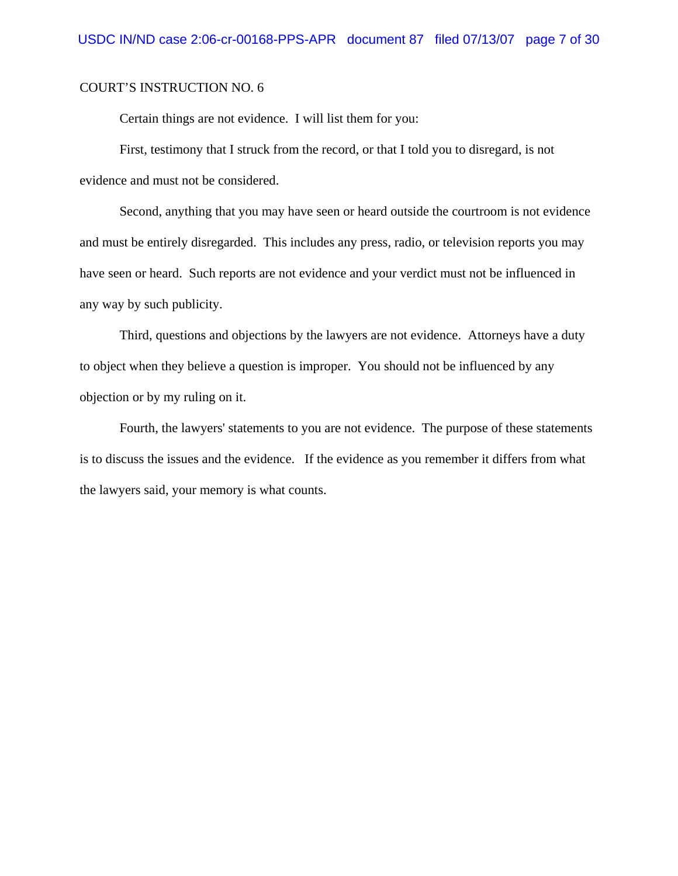Certain things are not evidence. I will list them for you:

First, testimony that I struck from the record, or that I told you to disregard, is not evidence and must not be considered.

Second, anything that you may have seen or heard outside the courtroom is not evidence and must be entirely disregarded. This includes any press, radio, or television reports you may have seen or heard. Such reports are not evidence and your verdict must not be influenced in any way by such publicity.

Third, questions and objections by the lawyers are not evidence. Attorneys have a duty to object when they believe a question is improper. You should not be influenced by any objection or by my ruling on it.

Fourth, the lawyers' statements to you are not evidence. The purpose of these statements is to discuss the issues and the evidence. If the evidence as you remember it differs from what the lawyers said, your memory is what counts.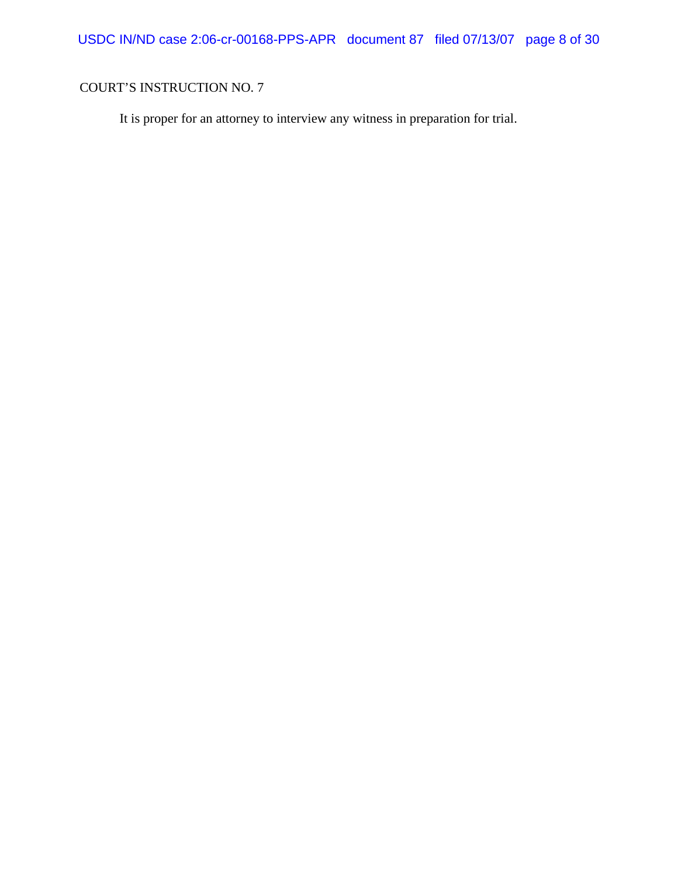It is proper for an attorney to interview any witness in preparation for trial.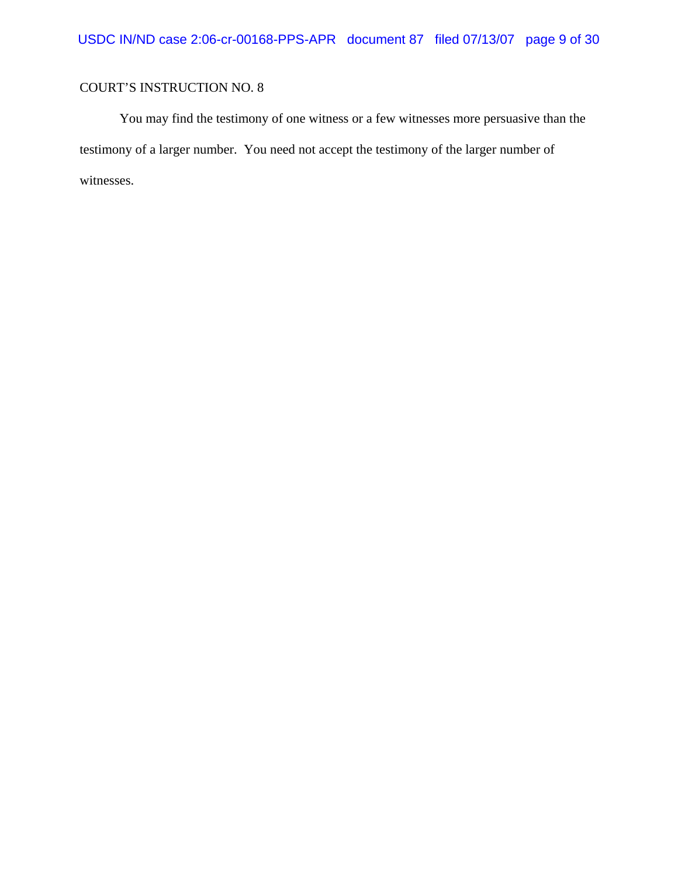You may find the testimony of one witness or a few witnesses more persuasive than the testimony of a larger number. You need not accept the testimony of the larger number of witnesses.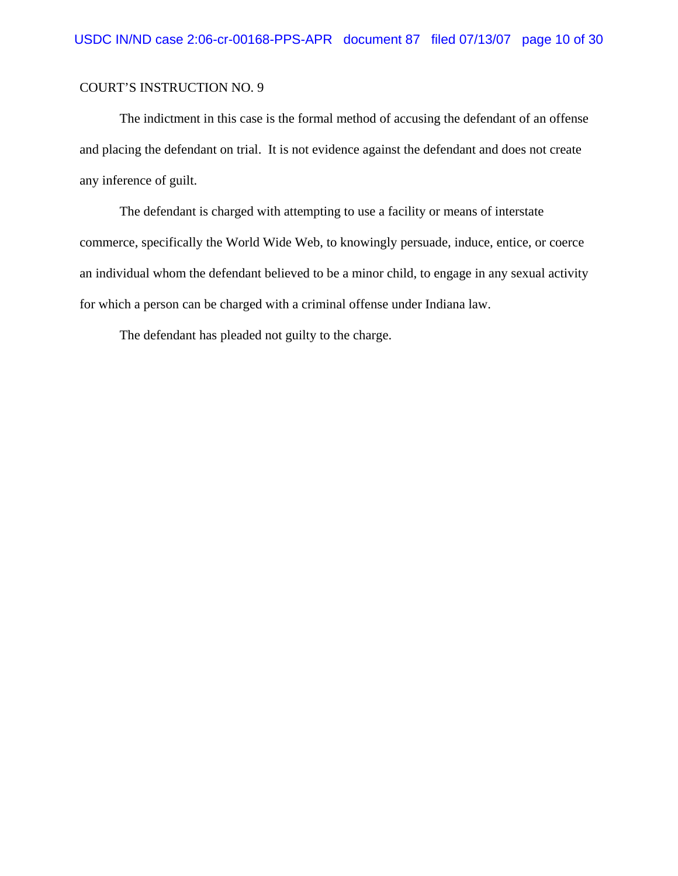The indictment in this case is the formal method of accusing the defendant of an offense and placing the defendant on trial. It is not evidence against the defendant and does not create any inference of guilt.

The defendant is charged with attempting to use a facility or means of interstate commerce, specifically the World Wide Web, to knowingly persuade, induce, entice, or coerce an individual whom the defendant believed to be a minor child, to engage in any sexual activity for which a person can be charged with a criminal offense under Indiana law.

The defendant has pleaded not guilty to the charge.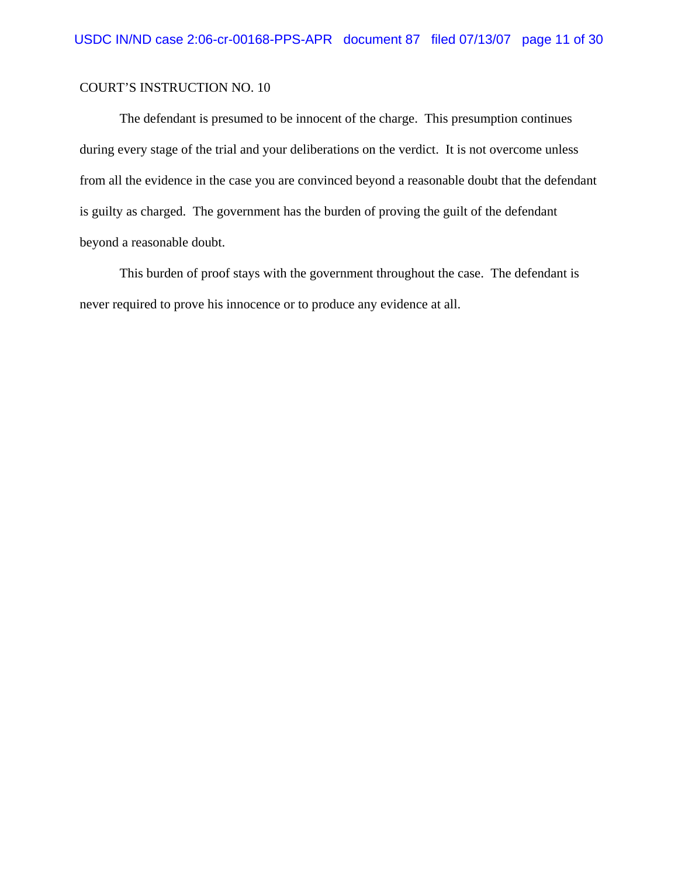The defendant is presumed to be innocent of the charge. This presumption continues during every stage of the trial and your deliberations on the verdict. It is not overcome unless from all the evidence in the case you are convinced beyond a reasonable doubt that the defendant is guilty as charged. The government has the burden of proving the guilt of the defendant beyond a reasonable doubt.

This burden of proof stays with the government throughout the case. The defendant is never required to prove his innocence or to produce any evidence at all.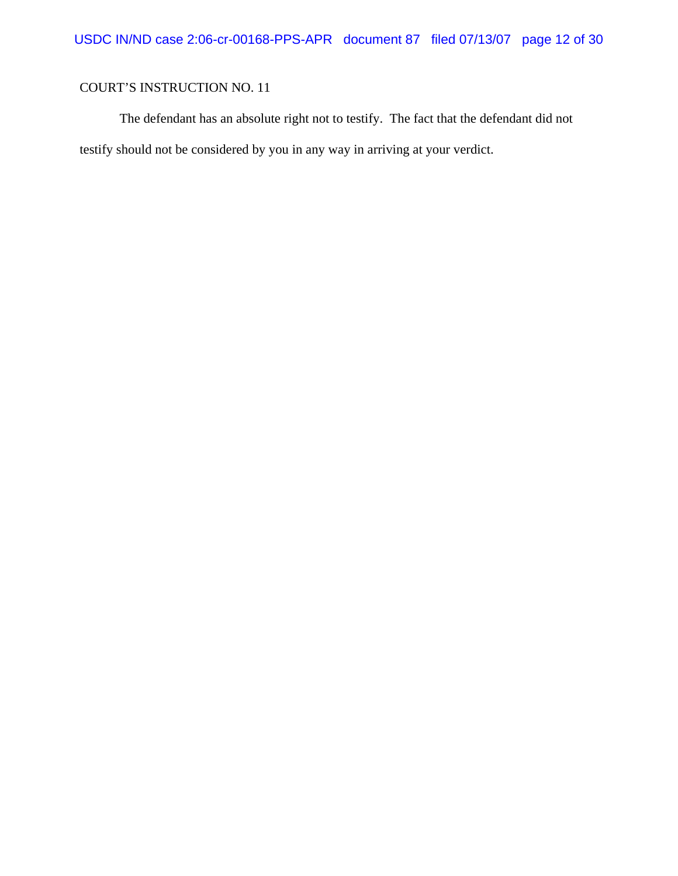The defendant has an absolute right not to testify. The fact that the defendant did not testify should not be considered by you in any way in arriving at your verdict.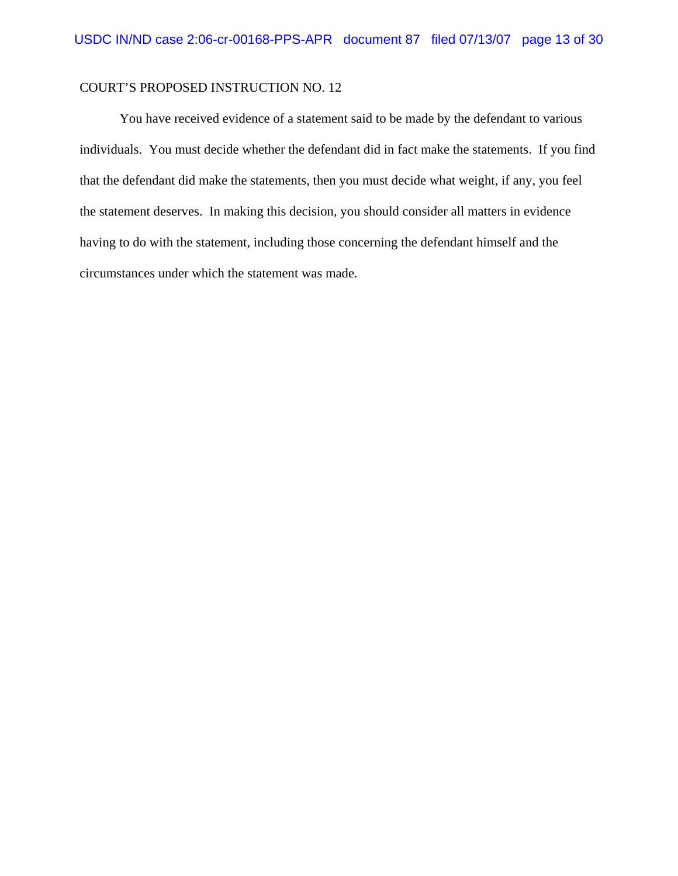#### COURT'S PROPOSED INSTRUCTION NO. 12

You have received evidence of a statement said to be made by the defendant to various individuals. You must decide whether the defendant did in fact make the statements. If you find that the defendant did make the statements, then you must decide what weight, if any, you feel the statement deserves. In making this decision, you should consider all matters in evidence having to do with the statement, including those concerning the defendant himself and the circumstances under which the statement was made.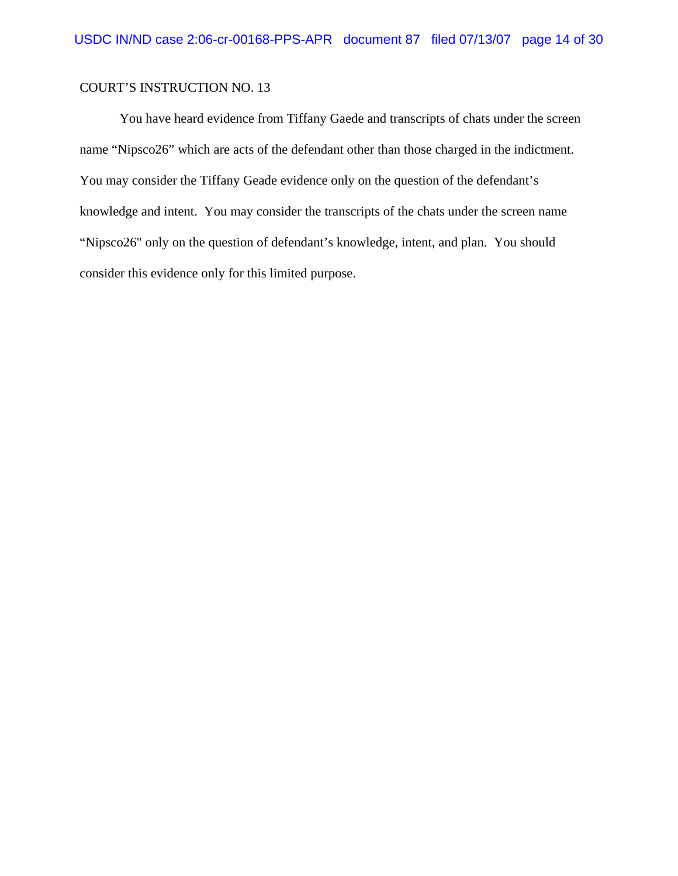You have heard evidence from Tiffany Gaede and transcripts of chats under the screen name "Nipsco26" which are acts of the defendant other than those charged in the indictment. You may consider the Tiffany Geade evidence only on the question of the defendant's knowledge and intent. You may consider the transcripts of the chats under the screen name "Nipsco26" only on the question of defendant's knowledge, intent, and plan. You should consider this evidence only for this limited purpose.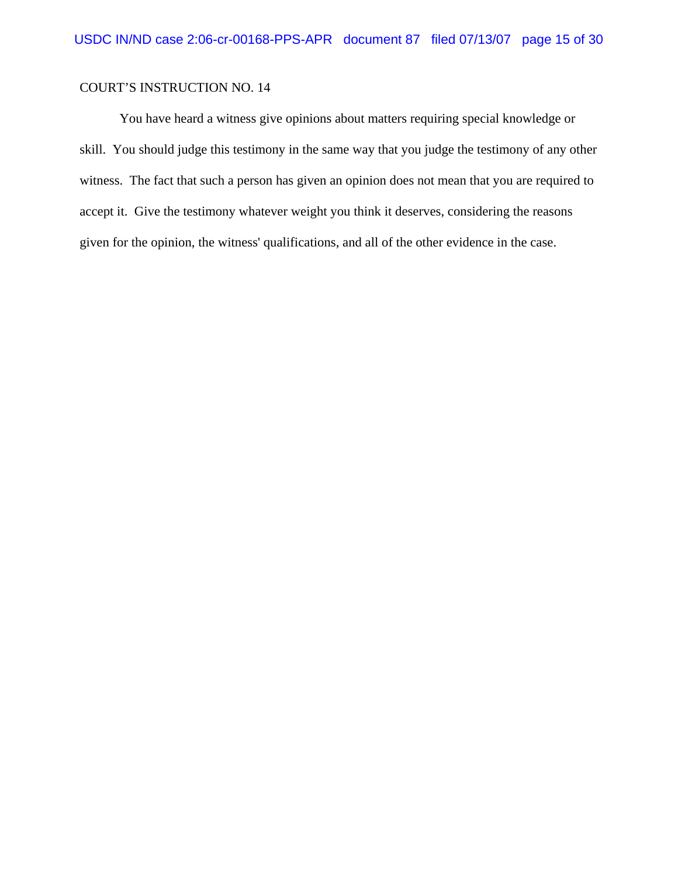You have heard a witness give opinions about matters requiring special knowledge or skill. You should judge this testimony in the same way that you judge the testimony of any other witness. The fact that such a person has given an opinion does not mean that you are required to accept it. Give the testimony whatever weight you think it deserves, considering the reasons given for the opinion, the witness' qualifications, and all of the other evidence in the case.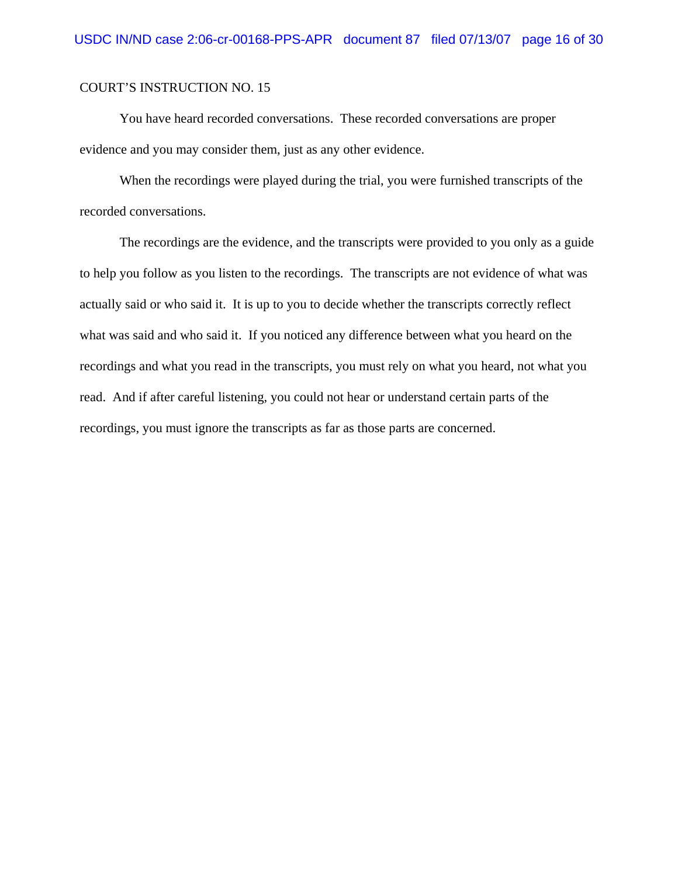You have heard recorded conversations. These recorded conversations are proper evidence and you may consider them, just as any other evidence.

When the recordings were played during the trial, you were furnished transcripts of the recorded conversations.

The recordings are the evidence, and the transcripts were provided to you only as a guide to help you follow as you listen to the recordings. The transcripts are not evidence of what was actually said or who said it. It is up to you to decide whether the transcripts correctly reflect what was said and who said it. If you noticed any difference between what you heard on the recordings and what you read in the transcripts, you must rely on what you heard, not what you read. And if after careful listening, you could not hear or understand certain parts of the recordings, you must ignore the transcripts as far as those parts are concerned.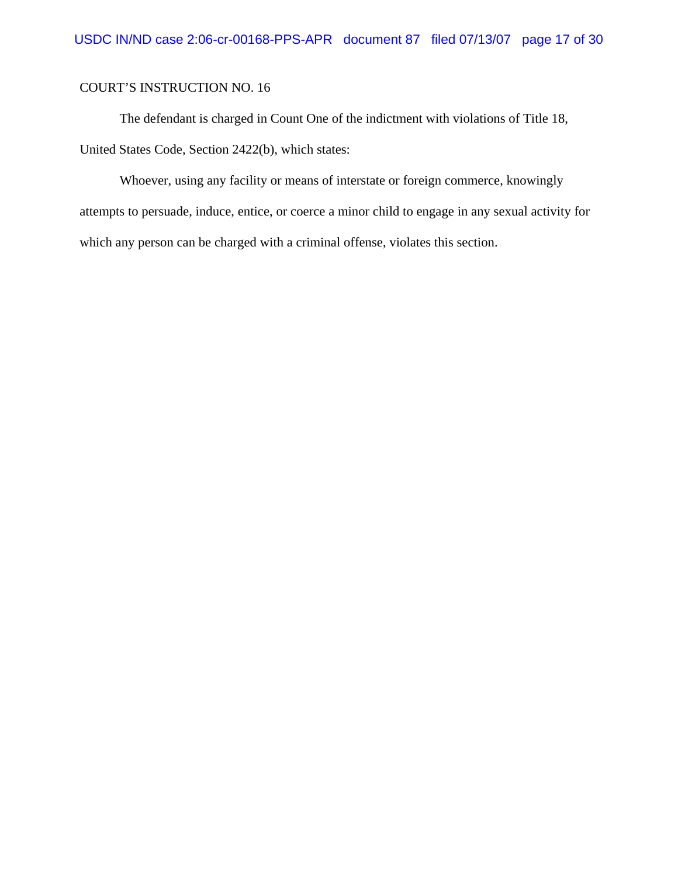The defendant is charged in Count One of the indictment with violations of Title 18, United States Code, Section 2422(b), which states:

Whoever, using any facility or means of interstate or foreign commerce, knowingly attempts to persuade, induce, entice, or coerce a minor child to engage in any sexual activity for which any person can be charged with a criminal offense, violates this section.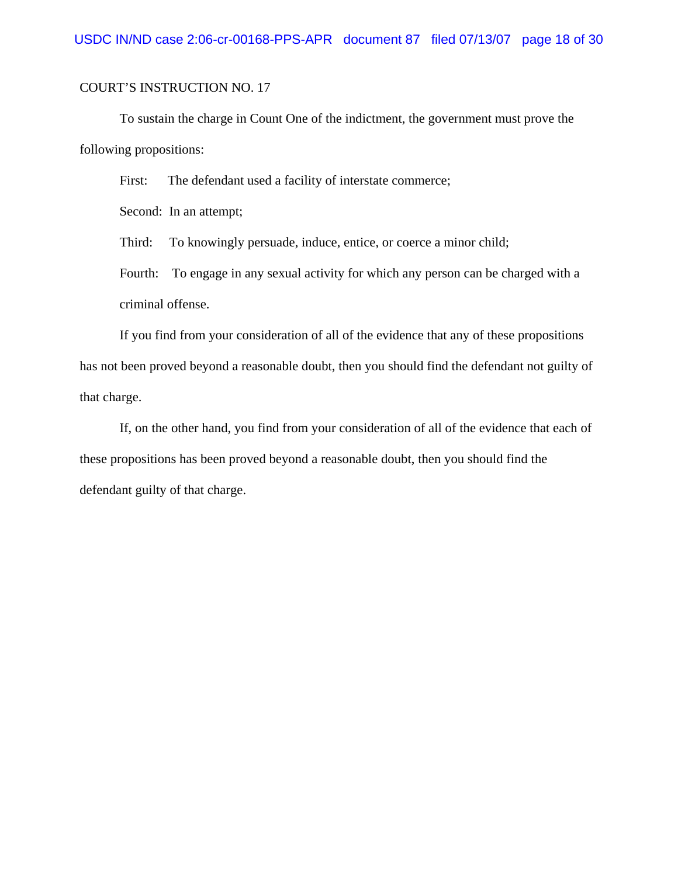To sustain the charge in Count One of the indictment, the government must prove the following propositions:

First: The defendant used a facility of interstate commerce;

Second: In an attempt;

Third: To knowingly persuade, induce, entice, or coerce a minor child;

Fourth: To engage in any sexual activity for which any person can be charged with a criminal offense.

If you find from your consideration of all of the evidence that any of these propositions has not been proved beyond a reasonable doubt, then you should find the defendant not guilty of that charge.

If, on the other hand, you find from your consideration of all of the evidence that each of these propositions has been proved beyond a reasonable doubt, then you should find the defendant guilty of that charge.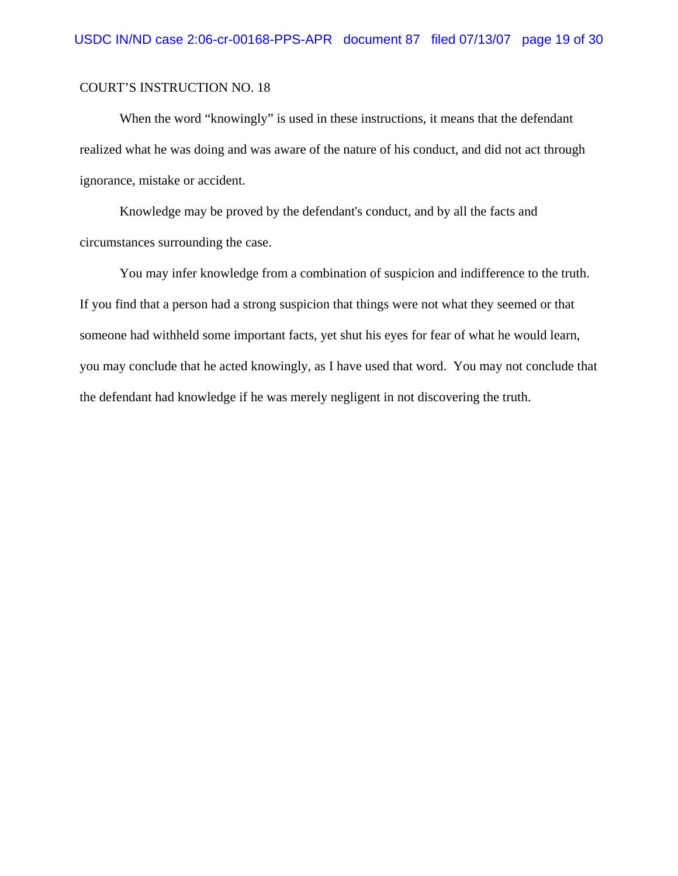When the word "knowingly" is used in these instructions, it means that the defendant realized what he was doing and was aware of the nature of his conduct, and did not act through ignorance, mistake or accident.

Knowledge may be proved by the defendant's conduct, and by all the facts and circumstances surrounding the case.

You may infer knowledge from a combination of suspicion and indifference to the truth. If you find that a person had a strong suspicion that things were not what they seemed or that someone had withheld some important facts, yet shut his eyes for fear of what he would learn, you may conclude that he acted knowingly, as I have used that word. You may not conclude that the defendant had knowledge if he was merely negligent in not discovering the truth.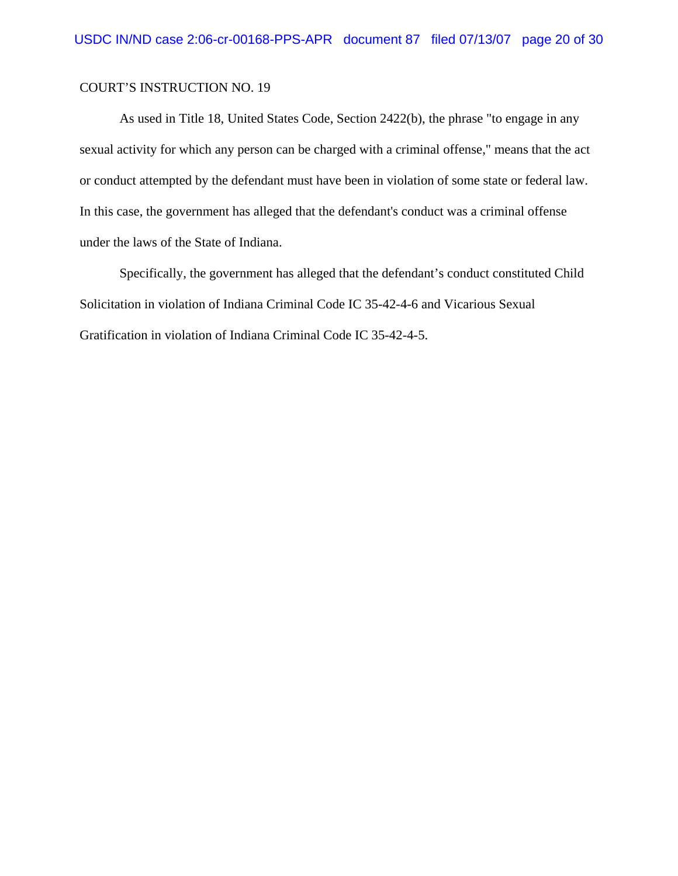As used in Title 18, United States Code, Section 2422(b), the phrase "to engage in any sexual activity for which any person can be charged with a criminal offense," means that the act or conduct attempted by the defendant must have been in violation of some state or federal law. In this case, the government has alleged that the defendant's conduct was a criminal offense under the laws of the State of Indiana.

Specifically, the government has alleged that the defendant's conduct constituted Child Solicitation in violation of Indiana Criminal Code IC 35-42-4-6 and Vicarious Sexual Gratification in violation of Indiana Criminal Code IC 35-42-4-5.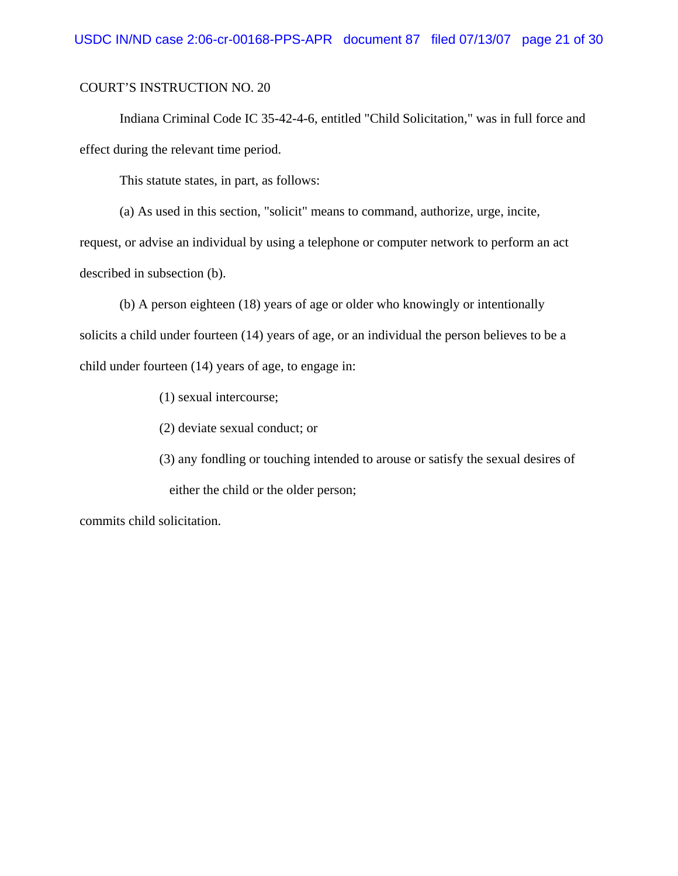Indiana Criminal Code IC 35-42-4-6, entitled "Child Solicitation," was in full force and effect during the relevant time period.

This statute states, in part, as follows:

(a) As used in this section, "solicit" means to command, authorize, urge, incite,

request, or advise an individual by using a telephone or computer network to perform an act described in subsection (b).

(b) A person eighteen (18) years of age or older who knowingly or intentionally solicits a child under fourteen (14) years of age, or an individual the person believes to be a child under fourteen (14) years of age, to engage in:

(1) sexual intercourse;

(2) deviate sexual conduct; or

(3) any fondling or touching intended to arouse or satisfy the sexual desires of either the child or the older person;

commits child solicitation.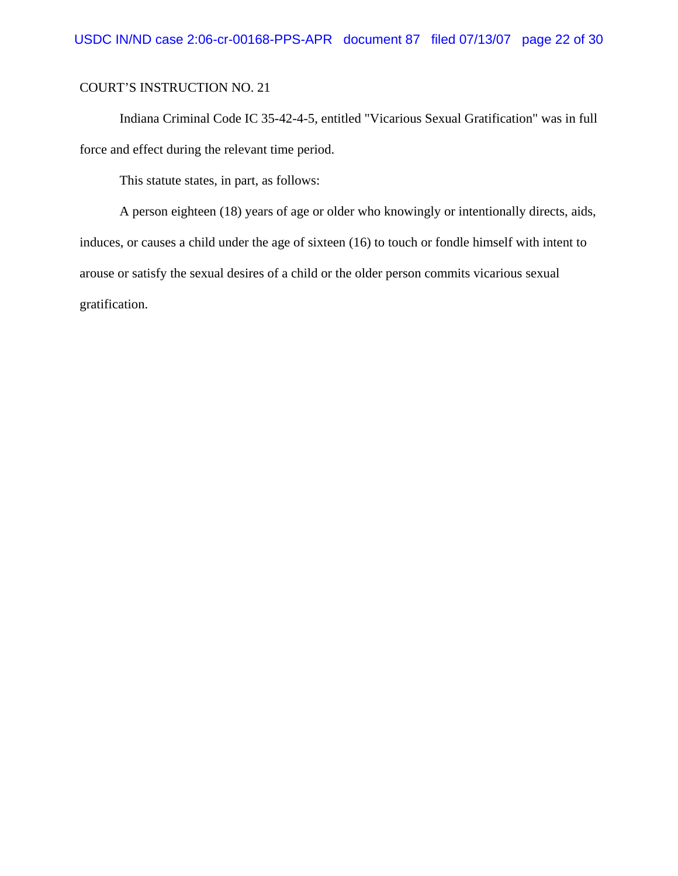Indiana Criminal Code IC 35-42-4-5, entitled "Vicarious Sexual Gratification" was in full force and effect during the relevant time period.

This statute states, in part, as follows:

A person eighteen (18) years of age or older who knowingly or intentionally directs, aids, induces, or causes a child under the age of sixteen (16) to touch or fondle himself with intent to arouse or satisfy the sexual desires of a child or the older person commits vicarious sexual gratification.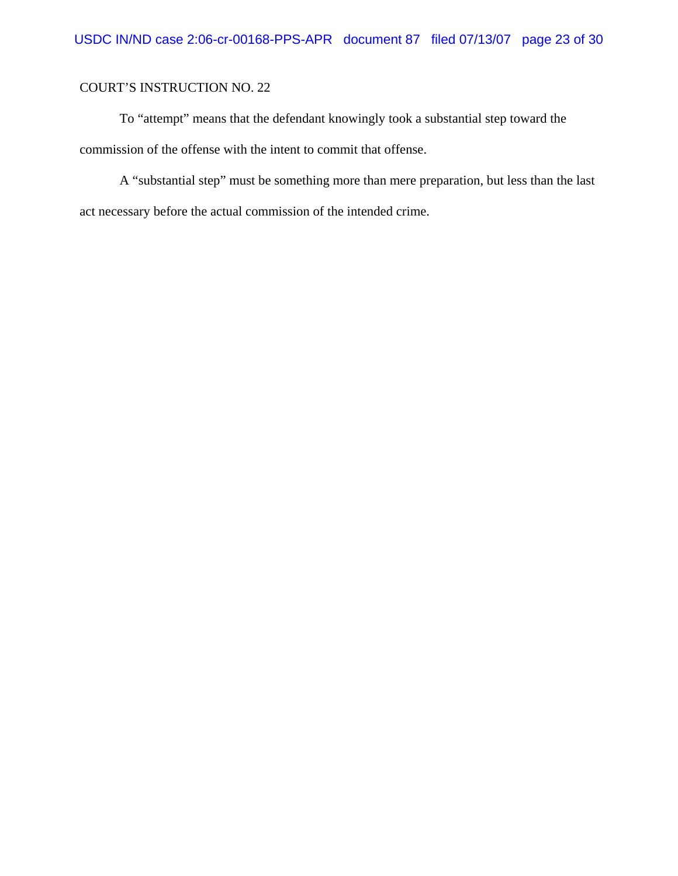To "attempt" means that the defendant knowingly took a substantial step toward the commission of the offense with the intent to commit that offense.

A "substantial step" must be something more than mere preparation, but less than the last act necessary before the actual commission of the intended crime.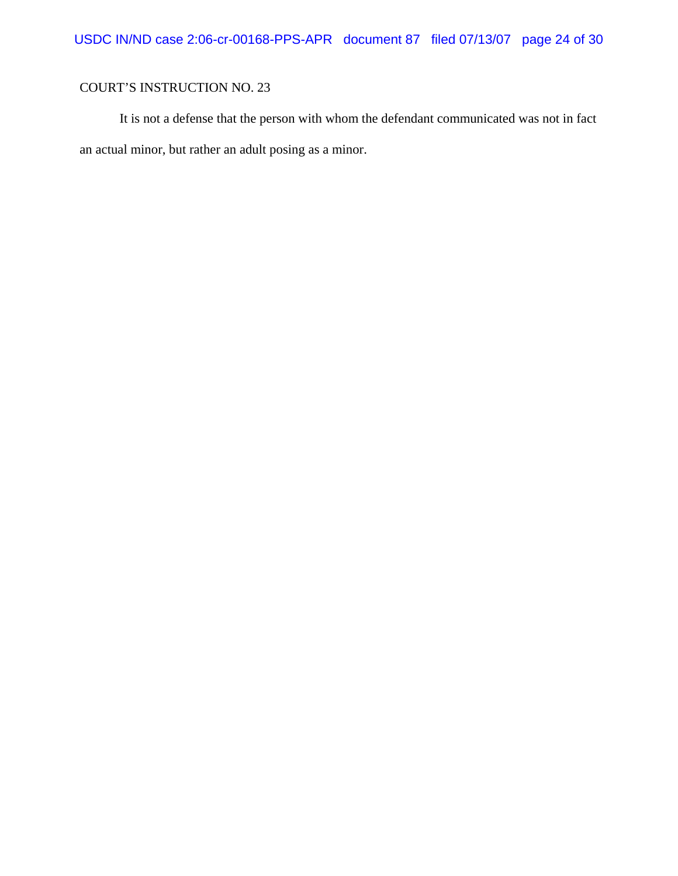It is not a defense that the person with whom the defendant communicated was not in fact an actual minor, but rather an adult posing as a minor.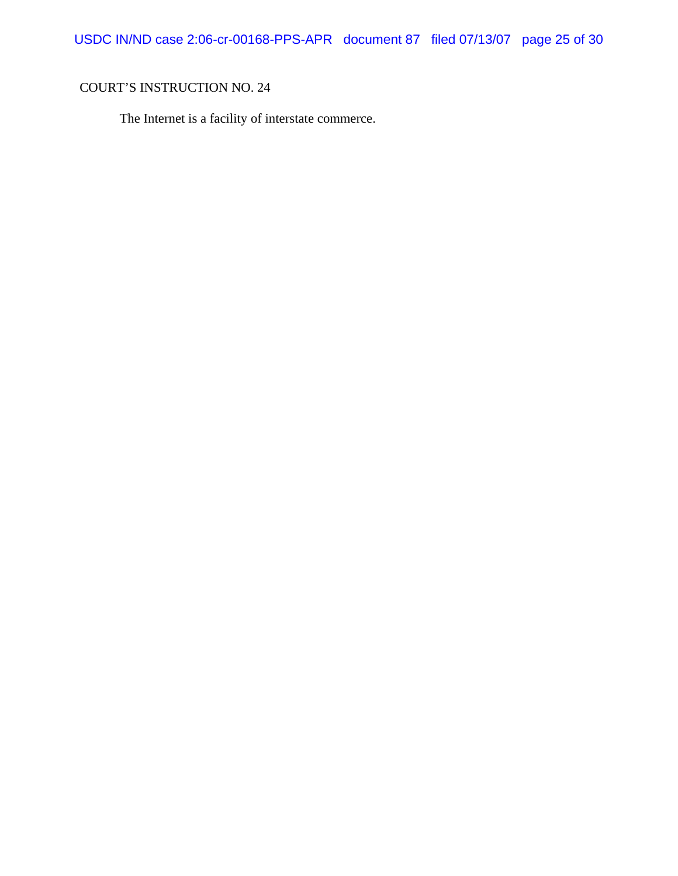USDC IN/ND case 2:06-cr-00168-PPS-APR document 87 filed 07/13/07 page 25 of 30

# COURT'S INSTRUCTION NO. 24

The Internet is a facility of interstate commerce.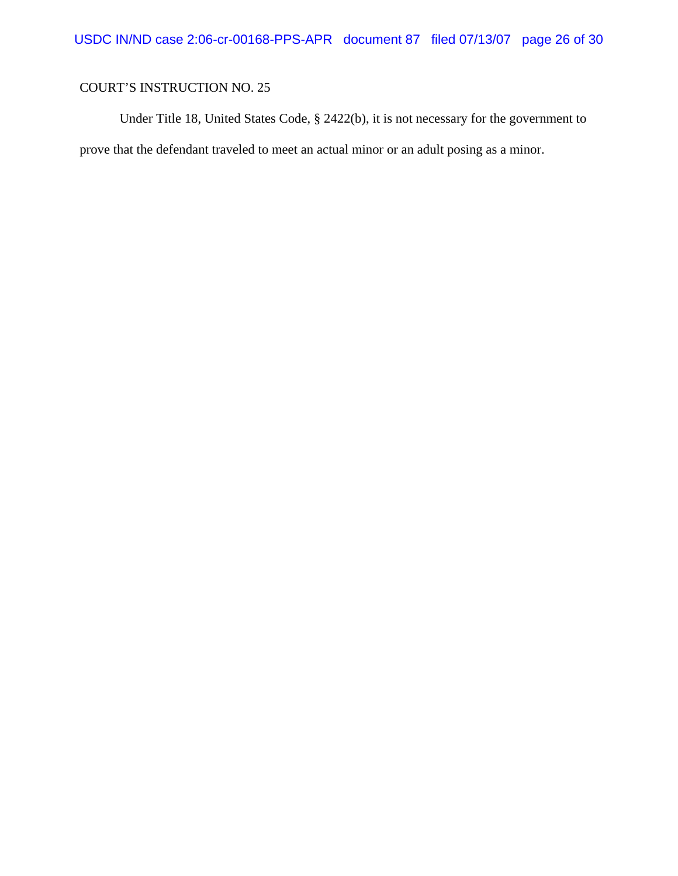Under Title 18, United States Code, § 2422(b), it is not necessary for the government to prove that the defendant traveled to meet an actual minor or an adult posing as a minor.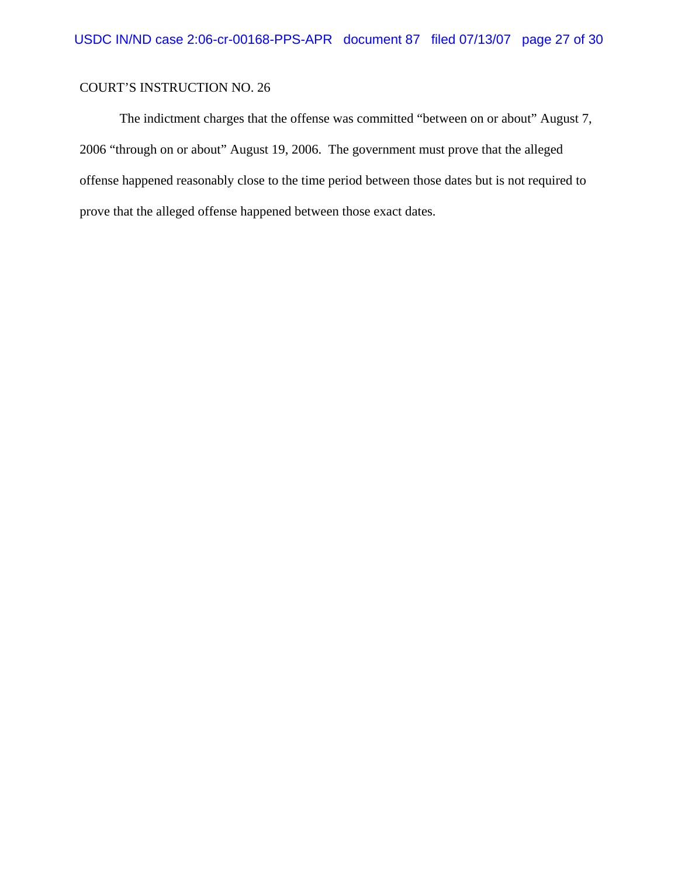The indictment charges that the offense was committed "between on or about" August 7, 2006 "through on or about" August 19, 2006. The government must prove that the alleged offense happened reasonably close to the time period between those dates but is not required to prove that the alleged offense happened between those exact dates.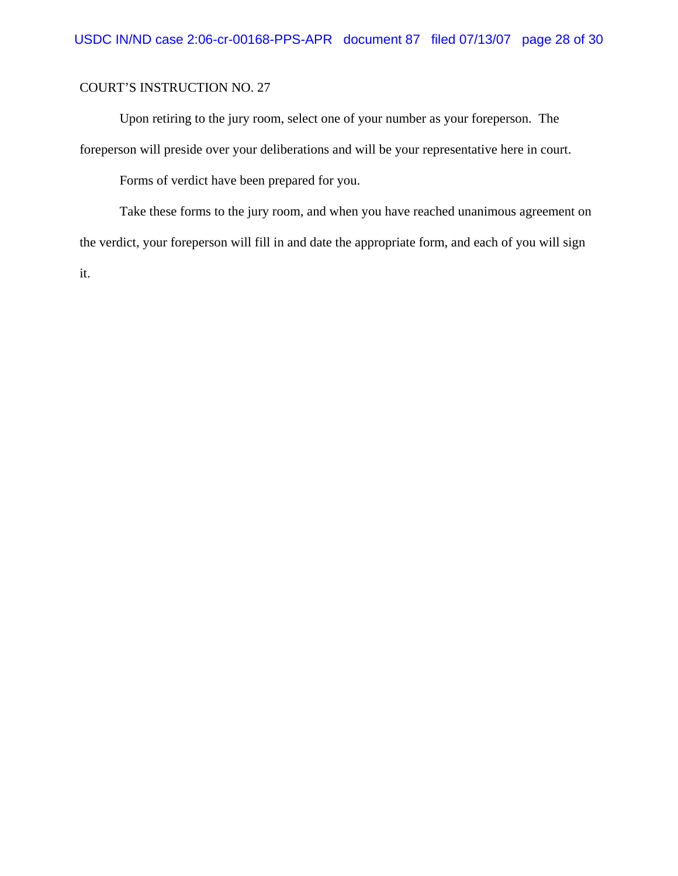Upon retiring to the jury room, select one of your number as your foreperson. The foreperson will preside over your deliberations and will be your representative here in court.

Forms of verdict have been prepared for you.

Take these forms to the jury room, and when you have reached unanimous agreement on the verdict, your foreperson will fill in and date the appropriate form, and each of you will sign it.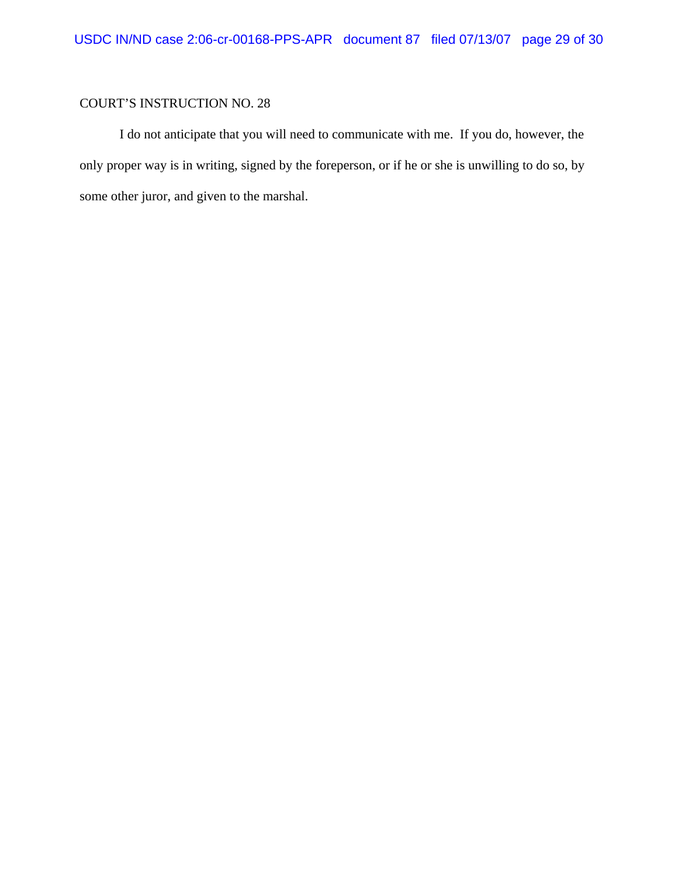I do not anticipate that you will need to communicate with me. If you do, however, the only proper way is in writing, signed by the foreperson, or if he or she is unwilling to do so, by some other juror, and given to the marshal.